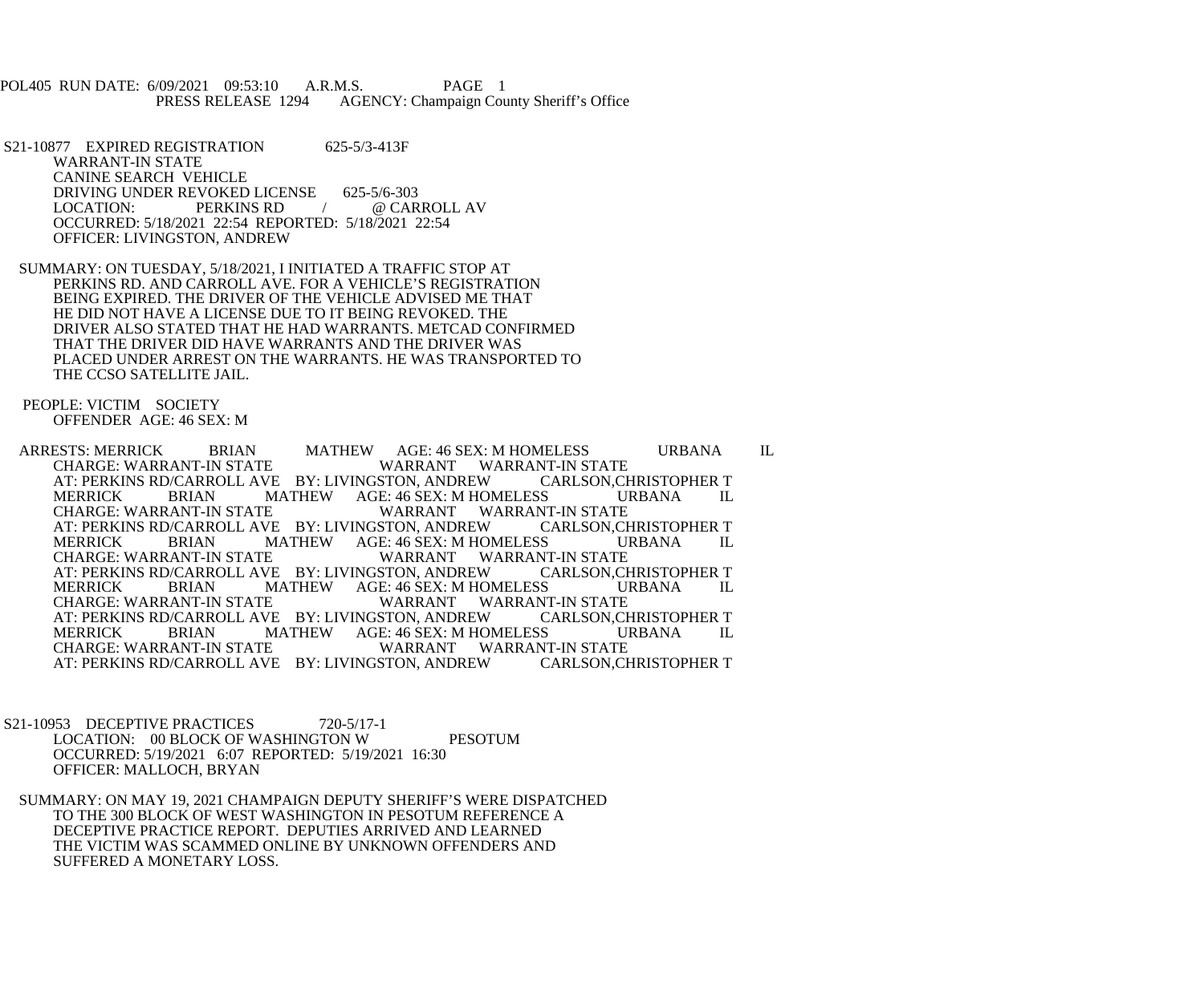POL405 RUN DATE: 6/09/2021 09:53:10 A.R.M.S. PAGE 1<br>PRESS RELEASE 1294 AGENCY: Champaign Cou AGENCY: Champaign County Sheriff's Office

S21-10877 EXPIRED REGISTRATION 625-5/3-413F WARRANT-IN STATE CANINE SEARCH VEHICLE DRIVING UNDER REVOKED LICENSE 625-5/6-303<br>LOCATION: PERKINS RD / @ CAR / @ CARROLL AV OCCURRED: 5/18/2021 22:54 REPORTED: 5/18/2021 22:54 OFFICER: LIVINGSTON, ANDREW

 SUMMARY: ON TUESDAY, 5/18/2021, I INITIATED A TRAFFIC STOP AT PERKINS RD. AND CARROLL AVE. FOR A VEHICLE'S REGISTRATION BEING EXPIRED. THE DRIVER OF THE VEHICLE ADVISED ME THAT HE DID NOT HAVE A LICENSE DUE TO IT BEING REVOKED. THE DRIVER ALSO STATED THAT HE HAD WARRANTS. METCAD CONFIRMED THAT THE DRIVER DID HAVE WARRANTS AND THE DRIVER WAS PLACED UNDER ARREST ON THE WARRANTS. HE WAS TRANSPORTED TO THE CCSO SATELLITE JAIL.

 PEOPLE: VICTIM SOCIETY OFFENDER AGE: 46 SEX: M

 ARRESTS: MERRICK BRIAN MATHEW AGE: 46 SEX: M HOMELESS URBANA IL WARRANT WARRANT-IN STATE<br>STON, ANDREW CARLSON,CHRISTOPHER T AT: PERKINS RD/CARROLL AVE BY: LIVINGSTON, ANDREW CARLSON, CHRISTOF<br>MERRICK BRIAN MATHEW AGE: 46 SEX: M HOMELESS URBANA MERRICK BRIAN MATHEW AGE: 46 SEX: M HOMELESS URBANA IL CHARGE: WARRANT WARRANT-IN STATE WARRANT WARRANT-IN STATE<br>STON, ANDREW CARLSON,CHRISTOPHER T AT: PERKINS RD/CARROLL AVE BY: LIVINGSTON, ANDREW CARLSON, CHRISTOPHER T MERRICK BRIAN MATHEW AGE: 46 SEX: M HOMELESS URBANA IL MERRICK BRIAN MATHEW AGE: 46 SEX: M HOMELESS<br>CHARGE: WARRANT-IN STATE WARRANT WARRAN WARRANT WARRANT-IN STATE<br>STON, ANDREW CARLSON,CHRISTOPHER T AT: PERKINS RD/CARROLL AVE BY: LIVINGSTON, ANDREW CARLSON, CHRISTOP<br>MERRICK BRIAN MATHEW AGE: 46 SEX: M HOMELESS URBANA MERRICK BRIAN MATHEW AGE: 46 SEX: M HOMELESS URBANA IL CHARGE: WARRANT WARRANT-IN STATE WARRANT WARRANT-IN STATE<br>STON. ANDREW CARLSON,CHRISTOPHER T AT: PERKINS RD/CARROLL AVE BY: LIVINGSTON, ANDREW CARLSON,CHRISTOR<br>MERRICK BRIAN MATHEW AGE: 46 SEX: M HOMELESS URBANA MERRICK BRIAN MATHEW AGE: 46 SEX: M HOMELESS URBANA IL CHARGE: WARRANT- WARRANT WARRANT-IN STATE WARRANT WARRANT-IN STATE<br>STON, ANDREW CARLSON,CHRISTOPHER T AT: PERKINS RD/CARROLL AVE BY: LIVINGSTON, ANDREW

S21-10953 DECEPTIVE PRACTICES 720-5/17-1 LOCATION: 00 BLOCK OF WASHINGTON W PESOTUM OCCURRED: 5/19/2021 6:07 REPORTED: 5/19/2021 16:30 OFFICER: MALLOCH, BRYAN

 SUMMARY: ON MAY 19, 2021 CHAMPAIGN DEPUTY SHERIFF'S WERE DISPATCHED TO THE 300 BLOCK OF WEST WASHINGTON IN PESOTUM REFERENCE A DECEPTIVE PRACTICE REPORT. DEPUTIES ARRIVED AND LEARNED THE VICTIM WAS SCAMMED ONLINE BY UNKNOWN OFFENDERS AND SUFFERED A MONETARY LOSS.